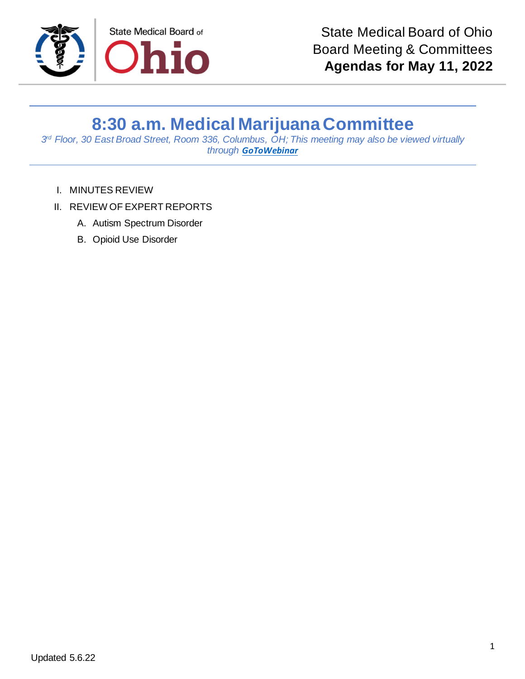

## **8:30 a.m. Medical Marijuana Committee**

*3 rd Floor, 30 East Broad Street, Room 336, Columbus, OH; This meeting may also be viewed virtually through [GoToWebinar](https://attendee.gotowebinar.com/register/8125997183048223247)*

- I. MINUTES REVIEW
- II. REVIEW OF EXPERT REPORTS
	- A. Autism Spectrum Disorder
	- B. Opioid Use Disorder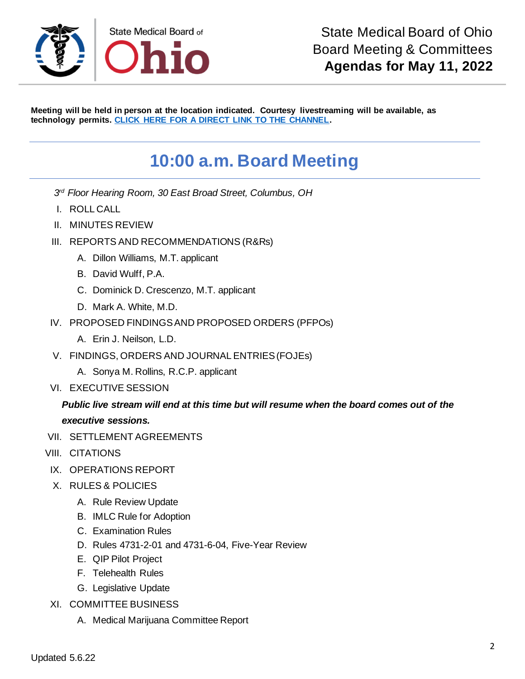

**Meeting will be held in person at the location indicated. Courtesy livestreaming will be available, as technology permits. [CLICK HERE FOR A DIRECT LINK TO THE CHANNEL.](https://www.youtube.com/channel/UCWBHBfwOyUtBZmBEZvtYPvA)**

## **10:00 a.m. Board Meeting**

- *3 rd Floor Hearing Room, 30 East Broad Street, Columbus, OH*
- I. ROLL CALL
- II. MINUTES REVIEW
- III. REPORTS AND RECOMMENDATIONS (R&Rs)
	- A. Dillon Williams, M.T. applicant
	- B. David Wulff, P.A.
	- C. Dominick D. Crescenzo, M.T. applicant
	- D. Mark A. White, M.D.
- IV. PROPOSED FINDINGS AND PROPOSED ORDERS (PFPOs)
	- A. Erin J. Neilson, L.D.
- V. FINDINGS, ORDERS AND JOURNAL ENTRIES (FOJEs)
	- A. Sonya M. Rollins, R.C.P. applicant
- VI. EXECUTIVE SESSION

## *Public live stream will end at this time but will resume when the board comes out of the executive sessions.*

- VII. SETTLEMENT AGREEMENTS
- VIII. CITATIONS
- IX. OPERATIONS REPORT
- X. RULES & POLICIES
	- A. Rule Review Update
	- B. IMLC Rule for Adoption
	- C. Examination Rules
	- D. Rules 4731-2-01 and 4731-6-04, Five-Year Review
	- E. QIP Pilot Project
	- F. Telehealth Rules
	- G. Legislative Update
- XI. COMMITTEE BUSINESS
	- A. Medical Marijuana Committee Report